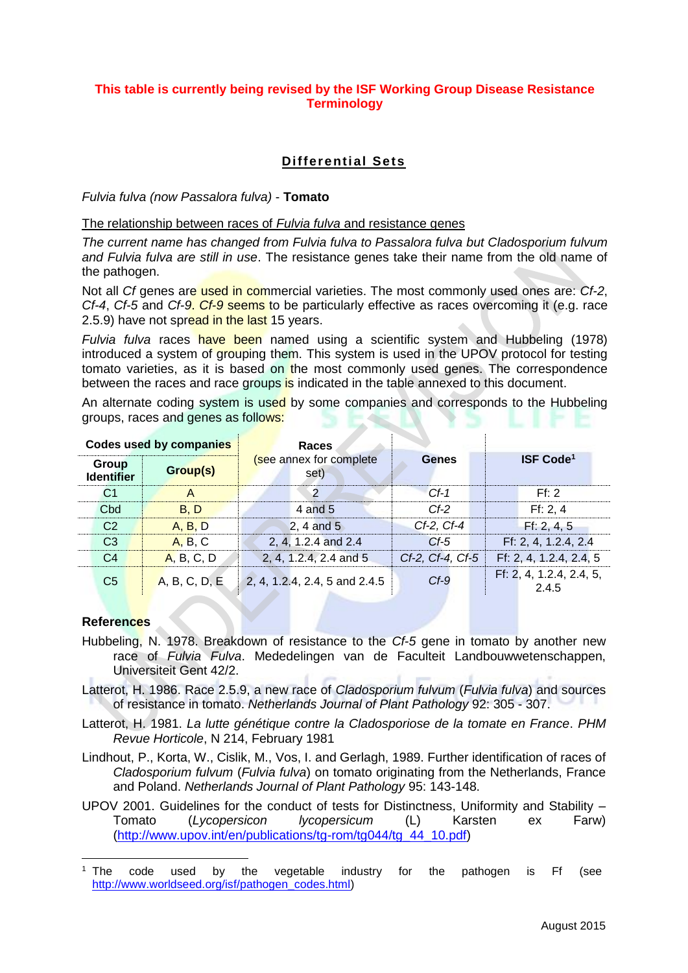## **This table is currently being revised by the ISF Working Group Disease Resistance Terminology**

# **Differential Sets**

#### *Fulvia fulva (now Passalora fulva)* - **Tomato**

## The relationship between races of *Fulvia fulva* and resistance genes

*The current name has changed from Fulvia fulva to Passalora fulva but Cladosporium fulvum and Fulvia fulva are still in use*. The resistance genes take their name from the old name of the pathogen.

Not all *Cf* genes are used in commercial varieties. The most commonly used ones are: *Cf-2*, *Cf-4*, *Cf-5* and *Cf-9*. *Cf-9* seems to be particularly effective as races overcoming it (e.g. race 2.5.9) have not spread in the last 15 years.

*Fulvia fulva* races have been named using a scientific system and Hubbeling (1978) introduced a system of grouping them. This system is used in the UPOV protocol for testing tomato varieties, as it is based on the most commonly used genes. The correspondence between the races and race groups is indicated in the table annexed to this document.

An alternate coding system is used by some companies and corresponds to the Hubbeling groups, races and genes as follows:

| Codes used by companies    |               | Races                           |                  |                                   |  |  |  |
|----------------------------|---------------|---------------------------------|------------------|-----------------------------------|--|--|--|
| Group<br><b>Identifier</b> | Group(s)      | (see annex for complete<br>set) | <b>Genes</b>     | <b>ISF Code<sup>1</sup></b>       |  |  |  |
| C1                         |               | $\mathcal{P}$                   | $Cf-1$           | Ff: 2                             |  |  |  |
| C <sub>bd</sub>            | <b>B.D</b>    | 4 and 5                         | $Cf-2$           | Ff: 2, 4                          |  |  |  |
| C <sub>2</sub>             | A, B, D       | $2, 4$ and $5$                  | $Cf-2$ , $Cf-4$  | Ff: 2, 4, 5                       |  |  |  |
| C <sub>3</sub>             | A, B, C       | 2, 4, 1.2.4 and 2.4             | $Cf-5$           | Ff: 2, 4, 1.2.4, 2.4              |  |  |  |
| C <sub>4</sub>             | A, B, C, D    | 2, 4, 1.2.4, 2.4 and 5          | Cf-2, Cf-4, Cf-5 | Ff: 2, 4, 1.2.4, 2.4, 5           |  |  |  |
| C <sub>5</sub>             | A, B, C, D, E | 2, 4, 1.2.4, 2.4, 5 and 2.4.5   | $Cf-9$           | Ff: 2, 4, 1.2.4, 2.4, 5,<br>2.4.5 |  |  |  |

#### **References**

- Hubbeling, N. 1978. Breakdown of resistance to the *Cf-5* gene in tomato by another new race of *Fulvia Fulva*. Mededelingen van de Faculteit Landbouwwetenschappen, Universiteit Gent 42/2.
- Latterot, H. 1986. Race 2.5.9, a new race of *Cladosporium fulvum* (*Fulvia fulva*) and sources of resistance in tomato. *Netherlands Journal of Plant Pathology* 92: 305 - 307.
- Latterot, H. 1981. *La lutte génétique contre la Cladosporiose de la tomate en France*. *PHM Revue Horticole*, N 214, February 1981
- Lindhout, P., Korta, W., Cislik, M., Vos, I. and Gerlagh, 1989. Further identification of races of *Cladosporium fulvum* (*Fulvia fulva*) on tomato originating from the Netherlands, France and Poland. *Netherlands Journal of Plant Pathology* 95: 143-148.
- UPOV 2001. Guidelines for the conduct of tests for Distinctness, Uniformity and Stability Tomato (*Lycopersicon lycopersicum* (L) Karsten ex Farw) [\(http://www.upov.int/en/publications/tg-rom/tg044/tg\\_44\\_10.pdf\)](http://www.upov.int/en/publications/tg-rom/tg044/tg_44_10.pdf)

 <sup>1</sup> The code used by the vegetable industry for the pathogen is Ff (see [http://www.worldseed.org/isf/pathogen\\_codes.html\)](http://www.worldseed.org/isf/pathogen_codes.html)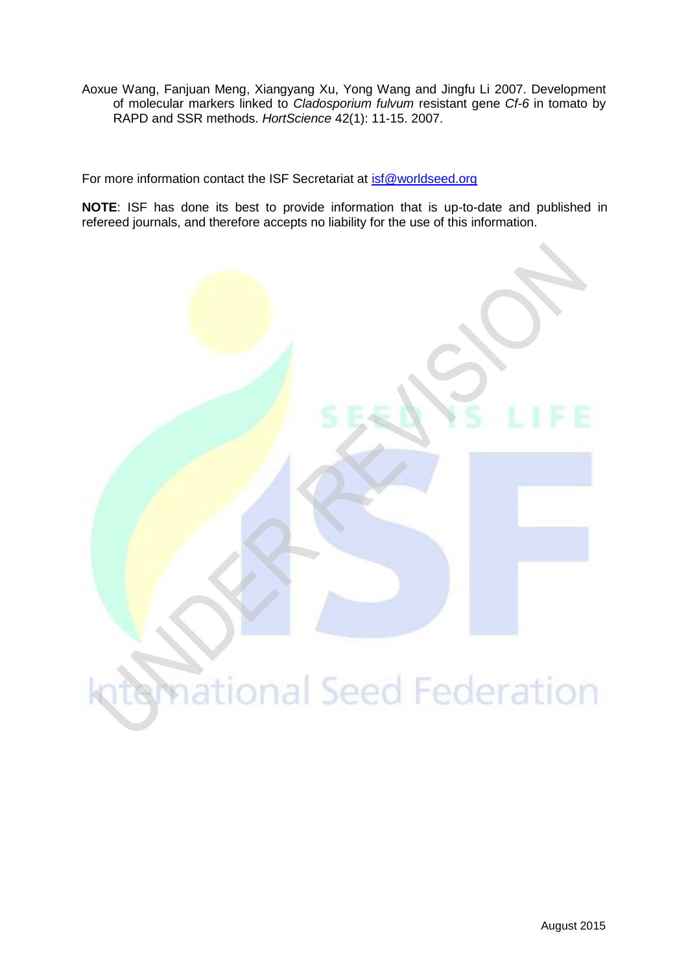Aoxue Wang, Fanjuan Meng, Xiangyang Xu, Yong Wang and Jingfu Li 2007. Development of molecular markers linked to *Cladosporium fulvum* resistant gene *Cf-6* in tomato by RAPD and SSR methods. *HortScience* 42(1): 11-15. 2007.

For more information contact the ISF Secretariat at [isf@worldseed.org](mailto:isf@worldseed.org)

**NOTE**: ISF has done its best to provide information that is up-to-date and published in refereed journals, and therefore accepts no liability for the use of this information.